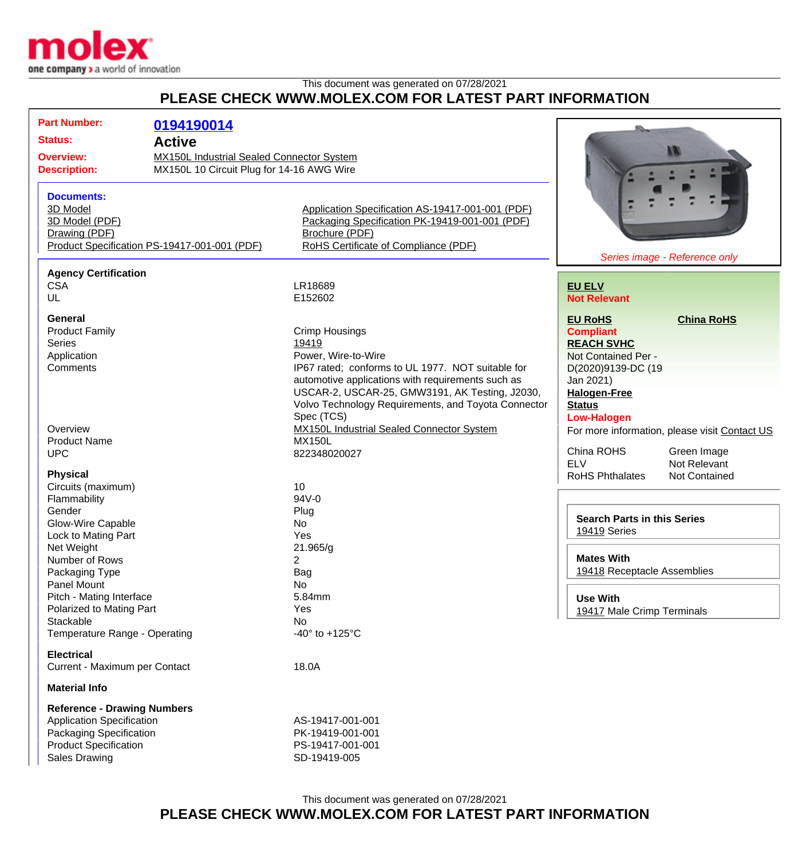

## This document was generated on 07/28/2021 **PLEASE CHECK WWW.MOLEX.COM FOR LATEST PART INFORMATION**

| <b>Part Number:</b>                          | 0194190014                                                                                    |                                                            |                                               |                   |
|----------------------------------------------|-----------------------------------------------------------------------------------------------|------------------------------------------------------------|-----------------------------------------------|-------------------|
| <b>Status:</b>                               |                                                                                               |                                                            |                                               |                   |
| <b>Active</b>                                |                                                                                               |                                                            | W                                             |                   |
| <b>Overview:</b><br><b>Description:</b>      | <b>MX150L Industrial Sealed Connector System</b><br>MX150L 10 Circuit Plug for 14-16 AWG Wire |                                                            |                                               |                   |
|                                              |                                                                                               |                                                            |                                               |                   |
| <b>Documents:</b>                            |                                                                                               |                                                            |                                               |                   |
| 3D Model                                     |                                                                                               | Application Specification AS-19417-001-001 (PDF)           |                                               |                   |
| 3D Model (PDF)                               |                                                                                               | Packaging Specification PK-19419-001-001 (PDF)             |                                               |                   |
| Drawing (PDF)                                |                                                                                               | Brochure (PDF)                                             |                                               |                   |
| Product Specification PS-19417-001-001 (PDF) |                                                                                               | RoHS Certificate of Compliance (PDF)                       |                                               |                   |
|                                              |                                                                                               |                                                            | Series image - Reference only                 |                   |
|                                              |                                                                                               |                                                            |                                               |                   |
| <b>Agency Certification</b><br><b>CSA</b>    |                                                                                               | LR18689                                                    | <b>EU ELV</b>                                 |                   |
| UL                                           |                                                                                               | E152602                                                    |                                               |                   |
|                                              |                                                                                               |                                                            | <b>Not Relevant</b>                           |                   |
| <b>General</b>                               |                                                                                               |                                                            | <b>EU RoHS</b>                                | <b>China RoHS</b> |
| <b>Product Family</b>                        |                                                                                               | <b>Crimp Housings</b>                                      | <b>Compliant</b>                              |                   |
| <b>Series</b>                                |                                                                                               | 19419                                                      | <b>REACH SVHC</b>                             |                   |
| Application                                  |                                                                                               | Power, Wire-to-Wire                                        | Not Contained Per -                           |                   |
| Comments                                     |                                                                                               | IP67 rated; conforms to UL 1977. NOT suitable for          | D(2020)9139-DC (19                            |                   |
|                                              |                                                                                               | automotive applications with requirements such as          | Jan 2021)                                     |                   |
|                                              |                                                                                               | USCAR-2, USCAR-25, GMW3191, AK Testing, J2030,             | <b>Halogen-Free</b>                           |                   |
|                                              |                                                                                               | Volvo Technology Requirements, and Toyota Connector        | <b>Status</b>                                 |                   |
|                                              |                                                                                               | Spec (TCS)                                                 |                                               |                   |
| Overview                                     |                                                                                               |                                                            | <b>Low-Halogen</b>                            |                   |
|                                              |                                                                                               | MX150L Industrial Sealed Connector System<br><b>MX150L</b> | For more information, please visit Contact US |                   |
| <b>Product Name</b><br><b>UPC</b>            |                                                                                               |                                                            | China ROHS                                    | Green Image       |
|                                              |                                                                                               | 822348020027                                               | <b>ELV</b>                                    | Not Relevant      |
| <b>Physical</b>                              |                                                                                               |                                                            | <b>RoHS Phthalates</b>                        | Not Contained     |
| Circuits (maximum)                           |                                                                                               | 10                                                         |                                               |                   |
| Flammability                                 |                                                                                               | 94V-0                                                      |                                               |                   |
| Gender                                       |                                                                                               | Plug                                                       |                                               |                   |
| Glow-Wire Capable                            |                                                                                               | No                                                         | <b>Search Parts in this Series</b>            |                   |
| Lock to Mating Part                          |                                                                                               | Yes                                                        | 19419 Series                                  |                   |
| Net Weight                                   |                                                                                               | 21.965/g                                                   |                                               |                   |
| Number of Rows                               |                                                                                               | 2                                                          | <b>Mates With</b>                             |                   |
| Packaging Type                               |                                                                                               | Bag                                                        | 19418 Receptacle Assemblies                   |                   |
| Panel Mount                                  |                                                                                               | No                                                         |                                               |                   |
| Pitch - Mating Interface                     |                                                                                               | 5.84mm                                                     |                                               |                   |
| Polarized to Mating Part                     |                                                                                               | Yes                                                        | <b>Use With</b>                               |                   |
| Stackable                                    |                                                                                               | No                                                         | 19417 Male Crimp Terminals                    |                   |
| Temperature Range - Operating                |                                                                                               | -40 $\degree$ to +125 $\degree$ C                          |                                               |                   |
|                                              |                                                                                               |                                                            |                                               |                   |
| <b>Electrical</b>                            |                                                                                               |                                                            |                                               |                   |
| Current - Maximum per Contact                |                                                                                               | 18.0A                                                      |                                               |                   |
| <b>Material Info</b>                         |                                                                                               |                                                            |                                               |                   |
| <b>Reference - Drawing Numbers</b>           |                                                                                               |                                                            |                                               |                   |
|                                              |                                                                                               | AS-19417-001-001                                           |                                               |                   |
| <b>Application Specification</b>             |                                                                                               |                                                            |                                               |                   |
| Packaging Specification                      |                                                                                               | PK-19419-001-001                                           |                                               |                   |
| <b>Product Specification</b>                 |                                                                                               | PS-19417-001-001                                           |                                               |                   |
| <b>Sales Drawing</b>                         |                                                                                               | SD-19419-005                                               |                                               |                   |